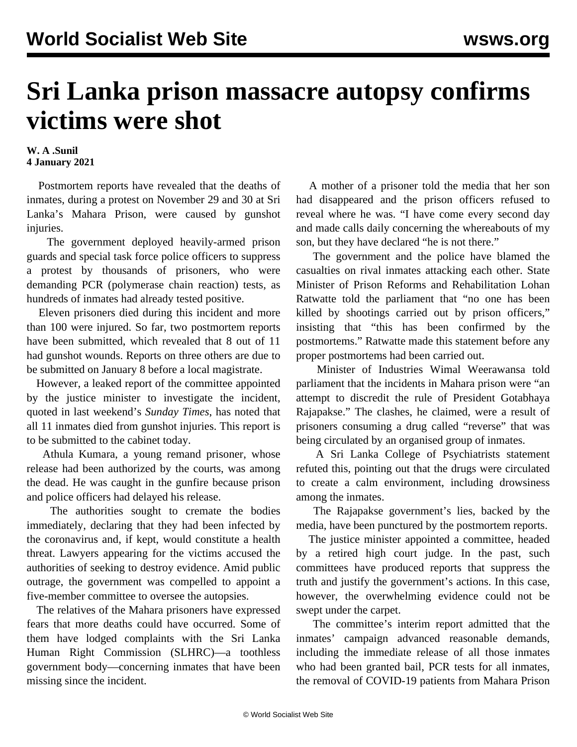## **Sri Lanka prison massacre autopsy confirms victims were shot**

## **W. A .Sunil 4 January 2021**

 Postmortem reports have revealed that the deaths of inmates, during a protest on November 29 and 30 at Sri Lanka's Mahara Prison, were caused by gunshot injuries.

 The government deployed heavily-armed prison guards and special task force police officers to suppress a protest by thousands of prisoners, who were demanding PCR (polymerase chain reaction) tests, as hundreds of inmates had already tested positive.

 Eleven prisoners died during this incident and more than 100 were injured. So far, two postmortem reports have been submitted, which revealed that 8 out of 11 had gunshot wounds. Reports on three others are due to be submitted on January 8 before a local magistrate.

 However, a leaked report of the committee appointed by the justice minister to investigate the incident, quoted in last weekend's *Sunday Times*, has noted that all 11 inmates died from gunshot injuries. This report is to be submitted to the cabinet today.

 Athula Kumara, a young remand prisoner, whose release had been authorized by the courts, was among the dead. He was caught in the gunfire because prison and police officers had delayed his release.

 The authorities sought to cremate the bodies immediately, declaring that they had been infected by the coronavirus and, if kept, would constitute a health threat. Lawyers appearing for the victims accused the authorities of seeking to destroy evidence. Amid public outrage, the government was compelled to appoint a five-member committee to oversee the autopsies.

 The relatives of the Mahara prisoners have expressed fears that more deaths could have occurred. Some of them have lodged complaints with the Sri Lanka Human Right Commission (SLHRC)—a toothless government body—concerning inmates that have been missing since the incident.

 A mother of a prisoner told the media that her son had disappeared and the prison officers refused to reveal where he was. "I have come every second day and made calls daily concerning the whereabouts of my son, but they have declared "he is not there."

 The government and the police have blamed the casualties on rival inmates attacking each other. State Minister of Prison Reforms and Rehabilitation Lohan Ratwatte told the parliament that "no one has been killed by shootings carried out by prison officers," insisting that "this has been confirmed by the postmortems." Ratwatte made this statement before any proper postmortems had been carried out.

 Minister of Industries Wimal Weerawansa told parliament that the incidents in Mahara prison were "an attempt to discredit the rule of President Gotabhaya Rajapakse." The clashes, he claimed, were a result of prisoners consuming a drug called "reverse" that was being circulated by an organised group of inmates.

 A Sri Lanka College of Psychiatrists statement refuted this, pointing out that the drugs were circulated to create a calm environment, including drowsiness among the inmates.

 The Rajapakse government's lies, backed by the media, have been punctured by the postmortem reports.

 The justice minister appointed a committee, headed by a retired high court judge. In the past, such committees have produced reports that suppress the truth and justify the government's actions. In this case, however, the overwhelming evidence could not be swept under the carpet.

 The committee's interim report admitted that the inmates' campaign advanced reasonable demands, including the immediate release of all those inmates who had been granted bail, PCR tests for all inmates, the removal of COVID-19 patients from Mahara Prison